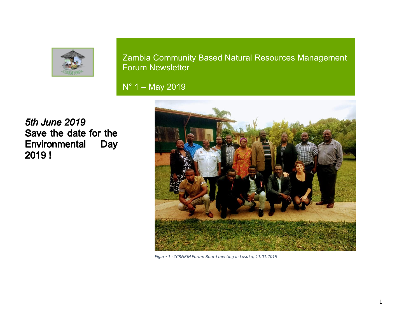

Zambia Community Based Natural Resources Management Forum Newsletter

N° 1 – May 2019

**5th June 2019** Save the date for the Environmental **Day** 2019!



*Figure 1 : ZCBNRM Forum Board meeting in Lusaka, 11.01.2019*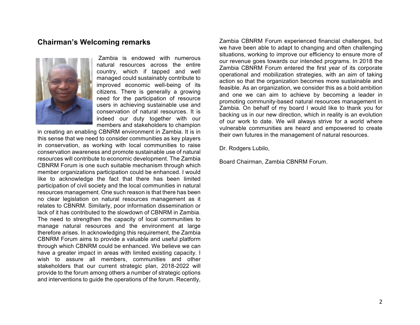# **Chairman's Welcoming remarks**



Zambia is endowed with numerous natural resources across the entire country, which if tapped and well managed could sustainably contribute to improved economic well-being of its citizens. There is generally a growing need for the participation of resource users in achieving sustainable use and conservation of natural resources. It is indeed our duty together with our members and stakeholders to champion

in creating an enabling CBNRM environment in Zambia. It is in this sense that we need to consider communities as key players in conservation, as working with local communities to raise conservation awareness and promote sustainable use of natural resources will contribute to economic development. The Zambia CBNRM Forum is one such suitable mechanism through which member organizations participation could be enhanced. I would like to acknowledge the fact that there has been limited participation of civil society and the local communities in natural resources management. One such reason is that there has been no clear legislation on natural resources management as it relates to CBNRM. Similarly, poor information dissemination or lack of it has contributed to the slowdown of CBNRM in Zambia. The need to strengthen the capacity of local communities to manage natural resources and the environment at large therefore arises. In acknowledging this requirement, the Zambia CBNRM Forum aims to provide a valuable and useful platform through which CBNRM could be enhanced. We believe we can have a greater impact in areas with limited existing capacity. I wish to assure all members, communities and other stakeholders that our current strategic plan, 2018-2022 will provide to the forum among others a number of strategic options and interventions to guide the operations of the forum. Recently,

Zambia CBNRM Forum experienced financial challenges, but we have been able to adapt to changing and often challenging situations, working to improve our efficiency to ensure more of our revenue goes towards our intended programs. In 2018 the Zambia CBNRM Forum entered the first year of its corporate operational and mobilization strategies, with an aim of taking action so that the organization becomes more sustainable and feasible. As an organization, we consider this as a bold ambition and one we can aim to achieve by becoming a leader in promoting community-based natural resources management in Zambia. On behalf of my board I would like to thank you for backing us in our new direction, which in reality is an evolution of our work to date. We will always strive for a world where vulnerable communities are heard and empowered to create their own futures in the management of natural resources.

Dr. Rodgers Lubilo,

Board Chairman, Zambia CBNRM Forum.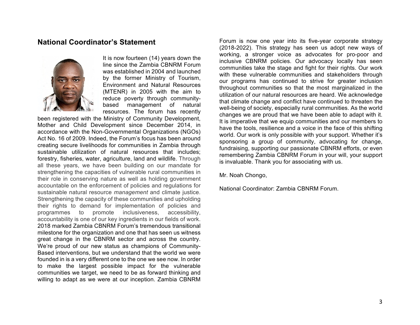# **National Coordinator's Statement**



It is now fourteen (14) years down the line since the Zambia CBNRM Forum was established in 2004 and launched by the former Ministry of Tourism, Environment and Natural Resources (MTENR) in 2005 with the aim to reduce poverty through communitybased management of natural resources. The forum has recently

been registered with the Ministry of Community Development, Mother and Child Development since December 2014, in accordance with the Non-Governmental Organizations (NGOs) Act No. 16 of 2009. Indeed, the Forum's focus has been around creating secure livelihoods for communities in Zambia through sustainable utilization of natural resources that includes; forestry, fisheries, water, agriculture, land and wildlife. Through all these years, we have been building on our mandate for strengthening the capacities of vulnerable rural communities in their role in conserving nature as well as holding government accountable on the enforcement of policies and regulations for sustainable natural resource *management* and climate justice. Strengthening the capacity of these communities and upholding their rights to demand for implementation of policies and programmes to promote inclusiveness, accessibility, accountability is one of our key ingredients in our fields of work. 2018 marked Zambia CBNRM Forum's tremendous transitional milestone for the organization and one that has seen us witness great change in the CBNRM sector and across the country. We're proud of our new status as champions of Community-Based interventions, but we understand that the world we were founded in is a very different one to the one we see now. In order to make the largest possible impact for the vulnerable communities we target, we need to be as forward thinking and willing to adapt as we were at our inception. Zambia CBNRM

Forum is now one year into its five-year corporate strategy (2018-2022). This strategy has seen us adopt new ways of working, a stronger voice as advocates for pro-poor and inclusive CBNRM policies. Our advocacy locally has seen communities take the stage and fight for their rights. Our work with these vulnerable communities and stakeholders through our programs has continued to strive for greater inclusion throughout communities so that the most marginalized in the utilization of our natural resources are heard. We acknowledge that climate change and conflict have continued to threaten the well-being of society, especially rural communities. As the world changes we are proud that we have been able to adapt with it. It is imperative that we equip communities and our members to have the tools, resilience and a voice in the face of this shifting world. Our work is only possible with your support. Whether it's sponsoring a group of community, advocating for change, fundraising, supporting our passionate CBNRM efforts, or even remembering Zambia CBNRM Forum in your will, your support is invaluable. Thank you for associating with us.

Mr. Noah Chongo,

National Coordinator: Zambia CBNRM Forum.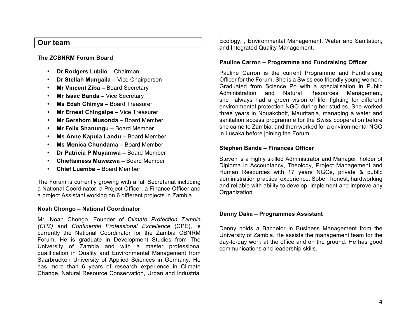# **Our team**

## **The ZCBNRM Forum Board**

- **Dr Rodgers Lubilo** Chairman
- **Dr Stellah Mungaila –** Vice Chairperson
- **Mr Vincent Ziba –** Board Secretary
- **Mr Isaac Banda –** Vice Secretary
- **Ms Edah Chimya –** Board Treasurer
- **Mr Ernest Chingaipe –** Vice Treasurer
- **Mr Gershom Musonda –** Board Member
- **Mr Felix Shanungu –** Board Member
- **Ms Anne Kapula Landu –** Board Member
- **Ms Monica Chundama –** Board Member
- **Dr Patricia P Muyamwa –** Board Member
- **Chieftainess Muwezwa –** Board Member
- **Chief Luembe –** Board Member

The Forum is currently growing with a full Secretariat including a National Coordinator, a Project Officer, a Finance Officer and a project Assistant working on 6 different projects in Zambia.

## **Noah Chongo – National Coordinator**

Mr. Noah Chongo, Founder of *Climate Protection Zambia (CPZ)* and *Continental Professional Excellence* (CPE), is currently the National Coordinator for the Zambia CBNRM Forum. He is graduate in Development Studies from The University of Zambia and with a master professional qualification in Quality and Environmental Management from Saarbrucken University of Applied Sciences in Germany. He has more than 6 years of research experience in Climate Change, Natural Resource Conservation, Urban and Industrial Ecology, , Environmental Management, Water and Sanitation, and Integrated Quality Management.

## **Pauline Carron – Programme and Fundraising Officer**

Pauline Carron is the current Programme and Fundraising Officer for the Forum. She is a Swiss eco friendly young women. Graduated from Science Po with a specialisation in Public Administration and Natural Resources Management, she always had a green vision of life, fighting for different environmental protection NGO during her studies. She worked three years in Nouakchott, Mauritania, managing a water and sanitation access programme for the Swiss cooperation before she came to Zambia, and then worked for a environmental NGO in Lusaka before joining the Forum.

## **Stephen Banda – Finances Officer**

Steven is a highly skilled Administrator and Manager, holder of Diploma in Accountancy, Theology, Project Management and Human Resources with 17 years NGOs, private & public administration practical experience. Sober, honest, hardworking and reliable with ability to develop, implement and improve any Organization.

## **Denny Daka – Programmes Assistant**

Denny holds a Bachelor in Business Management from the University of Zambia. He assists the management team for the day-to-day work at the office and on the ground. He has good communications and leadership skills.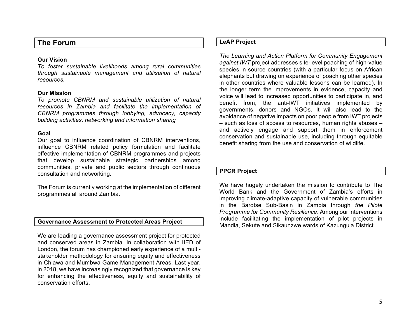# **The Forum**

#### **Our Vision**

*To foster sustainable livelihoods among rural communities through sustainable management and utilisation of natural resources.*

#### **Our Mission**

*To promote CBNRM and sustainable utilization of natural resources in Zambia and facilitate the implementation of CBNRM programmes through lobbying, advocacy, capacity building activities, networking and information sharing*

### **Goal**

Our goal to influence coordination of CBNRM interventions, influence CBNRM related policy formulation and facilitate effective implementation of CBNRM programmes and projects that develop sustainable strategic partnerships among communities, private and public sectors through continuous consultation and networking.

The Forum is currently working at the implementation of different programmes all around Zambia.

#### **Governance Assessment to Protected Areas Project**

We are leading a governance assessment project for protected and conserved areas in Zambia. In collaboration with IIED of London, the forum has championed early experience of a multistakeholder methodology for ensuring equity and effectiveness in Chiawa and Mumbwa Game Management Areas. Last year, in 2018, we have increasingly recognized that governance is key for enhancing the effectiveness, equity and sustainability of conservation efforts.

### **LeAP Project**

*The Learning and Action Platform for Community Engagement against IWT* project addresses site-level poaching of high-value species in source countries (with a particular focus on African elephants but drawing on experience of poaching other species in other countries where valuable lessons can be learned). In the longer term the improvements in evidence, capacity and voice will lead to increased opportunities to participate in, and benefit from, the anti-IWT initiatives implemented by governments, donors and NGOs. It will also lead to the avoidance of negative impacts on poor people from IWT projects – such as loss of access to resources, human rights abuses – and actively engage and support them in enforcement conservation and sustainable use, including through equitable benefit sharing from the use and conservation of wildlife.

## **PPCR Project**

We have hugely undertaken the mission to contribute to The World Bank and the Government of Zambia's efforts in improving climate-adaptive capacity of vulnerable communities in the Barotse Sub-Basin in Zambia through *the Pilote Programme for Community Resilience*. Among our interventions include facilitating the implementation of pilot projects in Mandia, Sekute and Sikaunzwe wards of Kazungula District.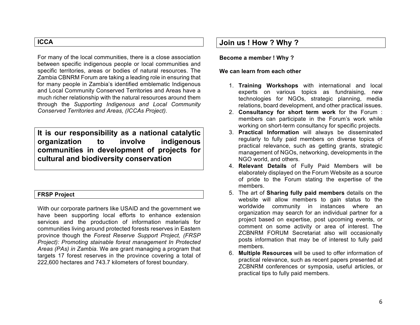# **ICCA**

For many of the local communities, there is a close association between specific indigenous people or local communities and specific territories, areas or bodies of natural resources. The Zambia CBNRM Forum are taking a leading role in ensuring that for many people in Zambia's identified emblematic Indigenous and Local Community Conserved Territories and Areas have a much richer relationship with the natural resources around them through the *Supporting Indigenous and Local Community Conserved Territories and Areas, (ICCAs Project)*.

**It is our responsibility as a national catalytic organization to involve indigenous communities in development of projects for cultural and biodiversity conservation**

## **FRSP Project**

With our corporate partners like USAID and the government we have been supporting local efforts to enhance extension services and the production of information materials for communities living around protected forests reserves in Eastern province though the *Forest Reserve Support Project, (FRSP Project): Promoting stainable forest management In Protected Areas (PAs) in Zambia.* We are grant managing a program that targets 17 forest reserves in the province covering a total of 222,600 hectares and 743.7 kilometers of forest boundary.

# **Join us ! How ? Why ?**

#### **Become a member ! Why ?**

#### **We can learn from each other**

- 1. **Training Workshops** with international and local experts on various topics as fundraising, new technologies for NGOs, strategic planning, media relations, board development, and other practical issues.
- 2. **Consultancy for short term work** for the Forum : members can participate in the Forum's work while working on short-term consultancy for specific projects.
- 3. **Practical Information** will always be disseminated regularly to fully paid members on diverse topics of practical relevance, such as getting grants, strategic management of NGOs, networking, developments in the NGO world, and others.
- 4. **Relevant Details** of Fully Paid Members will be elaborately displayed on the Forum Website as a source of pride to the Forum stating the expertise of the members.
- 5. The art of **Sharing fully paid members** details on the website will allow members to gain status to the worldwide community in instances where an organization may search for an individual partner for a project based on expertise, post upcoming events, or comment on some activity or area of interest. The ZCBNRM FORUM Secretariat also will occasionally posts information that may be of interest to fully paid members.
- 6. **Multiple Resources** will be used to offer information of practical relevance, such as recent papers presented at ZCBNRM conferences or symposia, useful articles, or practical tips to fully paid members.